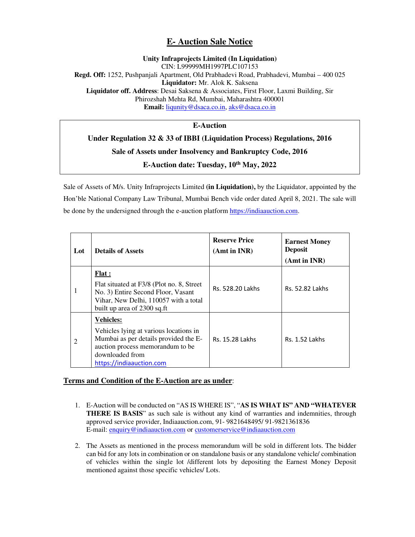## **E- Auction Sale Notice**

## **Unity Infraprojects Limited (In Liquidation)**  CIN: L99999MH1997PLC107153 **Regd. Off:** 1252, Pushpanjali Apartment, Old Prabhadevi Road, Prabhadevi, Mumbai – 400 025 **Liquidator:** Mr. Alok K. Saksena **Liquidator off. Address**: Desai Saksena & Associates, First Floor, Laxmi Building, Sir Phirozshah Mehta Rd, Mumbai, Maharashtra 400001 **Email:** liqunity@dsaca.co.in, aks@dsaca.co.in

**E-Auction** 

## **Under Regulation 32 & 33 of IBBI (Liquidation Process) Regulations, 2016 Sale of Assets under Insolvency and Bankruptcy Code, 2016 E-Auction date: Tuesday, 10th May, 2022**

Sale of Assets of M/s. Unity Infraprojects Limited **(in Liquidation),** by the Liquidator, appointed by the Hon'ble National Company Law Tribunal, Mumbai Bench vide order dated April 8, 2021. The sale will be done by the undersigned through the e-auction platform https://indiaauction.com.

| Lot            | <b>Details of Assets</b>                                                                                                                                                               | <b>Reserve Price</b><br>(Amt in INR) | <b>Earnest Money</b><br><b>Deposit</b><br>(Amt in INR) |
|----------------|----------------------------------------------------------------------------------------------------------------------------------------------------------------------------------------|--------------------------------------|--------------------------------------------------------|
| 1              | <b>Flat</b> :<br>Flat situated at F3/8 (Plot no. 8, Street<br>No. 3) Entire Second Floor, Vasant<br>Vihar, New Delhi, 110057 with a total<br>built up area of 2300 sq.ft               | Rs. 528.20 Lakhs                     | <b>Rs. 52.82 Lakhs</b>                                 |
| $\overline{2}$ | <b>Vehicles:</b><br>Vehicles lying at various locations in<br>Mumbai as per details provided the E-<br>auction process memorandum to be<br>downloaded from<br>https://indiaauction.com | Rs. 15.28 Lakhs                      | <b>Rs. 1.52 Lakhs</b>                                  |

## **Terms and Condition of the E-Auction are as under**:

- 1. E-Auction will be conducted on "AS IS WHERE IS", "**AS IS WHAT IS" AND "WHATEVER THERE IS BASIS**" as such sale is without any kind of warranties and indemnities, through approved service provider, Indiaauction.com, 91- 9821648495/ 91-9821361836 E-mail: enquiry@indiaauction.com or customerservice@indiaauction.com
- 2. The Assets as mentioned in the process memorandum will be sold in different lots. The bidder can bid for any lots in combination or on standalone basis or any standalone vehicle/ combination of vehicles within the single lot /different lots by depositing the Earnest Money Deposit mentioned against those specific vehicles/ Lots.